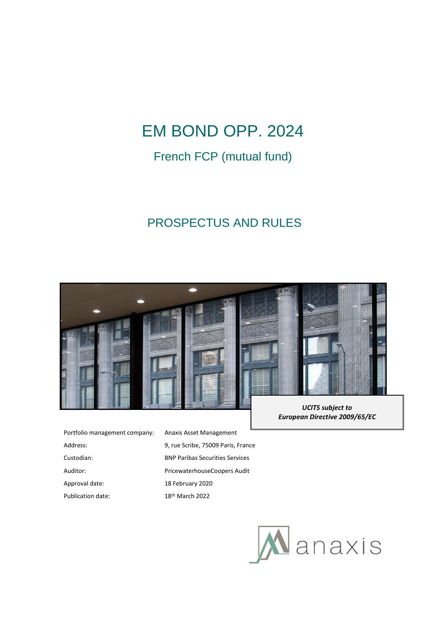# EM BOND OPP. 2024

## French FCP (mutual fund)

## PROSPECTUS AND RULES



| Portfolio management company: | Anaxis Asset Mar            |
|-------------------------------|-----------------------------|
| Address:                      | 9, rue Scribe, 750          |
| Custodian:                    | <b>BNP Paribas Secu</b>     |
| Auditor:                      | Pricewaterhouse             |
| Approval date:                | 18 February 2020            |
| Publication date:             | 18 <sup>th</sup> March 2022 |

Anaxis Asset Management 9, rue Scribe, 75009 Paris, France **BNP Paribas Securities Services** PricewaterhouseCoopers Audit 18 February 2020

*UCITS subject to European Directive 2009/65/EC*

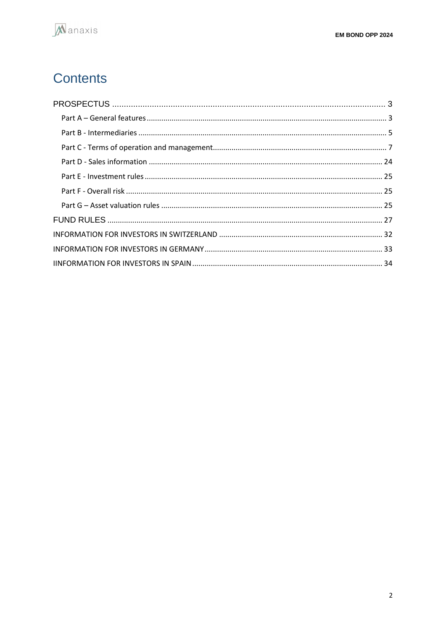## Contents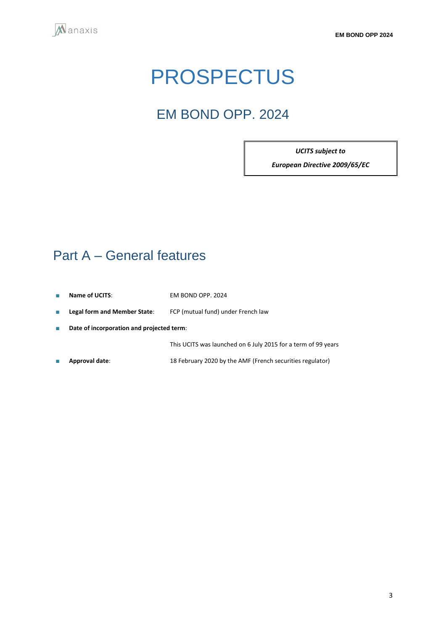<span id="page-2-0"></span>

# PROSPECTUS

## EM BOND OPP. 2024

*UCITS subject to* 

*European Directive 2009/65/EC*

## <span id="page-2-1"></span>Part A – General features

- **Name of UCITS**: EM BOND OPP. 2024
- **Legal form and Member State**: FCP (mutual fund) under French law
- **Date of incorporation and projected term**:

This UCITS was launched on 6 July 2015 for a term of 99 years

■ **Approval date**: 18 February 2020 by the AMF (French securities regulator)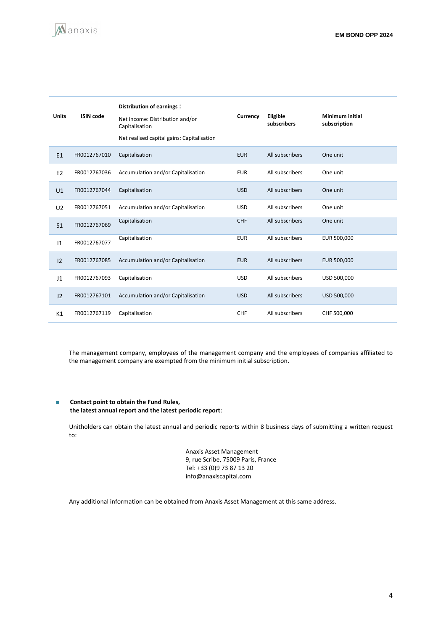

| <b>Units</b>   | <b>ISIN code</b> | Distribution of earnings:<br>Net income: Distribution and/or<br>Capitalisation<br>Net realised capital gains: Capitalisation | Currency   | Eligible<br>subscribers | <b>Minimum initial</b><br>subscription |
|----------------|------------------|------------------------------------------------------------------------------------------------------------------------------|------------|-------------------------|----------------------------------------|
| E1             | FR0012767010     | Capitalisation                                                                                                               | <b>EUR</b> | All subscribers         | One unit                               |
| E <sub>2</sub> | FR0012767036     | Accumulation and/or Capitalisation                                                                                           | <b>EUR</b> | All subscribers         | One unit                               |
| U <sub>1</sub> | FR0012767044     | Capitalisation                                                                                                               | <b>USD</b> | All subscribers         | One unit                               |
| U <sub>2</sub> | FR0012767051     | Accumulation and/or Capitalisation                                                                                           | <b>USD</b> | All subscribers         | One unit                               |
| S <sub>1</sub> | FR0012767069     | Capitalisation                                                                                                               | <b>CHF</b> | All subscribers         | One unit                               |
| 1              | FR0012767077     | Capitalisation                                                                                                               | <b>EUR</b> | All subscribers         | EUR 500,000                            |
| 12             | FR0012767085     | Accumulation and/or Capitalisation                                                                                           | <b>EUR</b> | All subscribers         | EUR 500,000                            |
| J <sub>1</sub> | FR0012767093     | Capitalisation                                                                                                               | <b>USD</b> | All subscribers         | USD 500,000                            |
| J2             | FR0012767101     | Accumulation and/or Capitalisation                                                                                           | <b>USD</b> | All subscribers         | USD 500,000                            |
| K1             | FR0012767119     | Capitalisation                                                                                                               | CHF        | All subscribers         | CHF 500,000                            |

The management company, employees of the management company and the employees of companies affiliated to the management company are exempted from the minimum initial subscription.

#### ■ **Contact point to obtain the Fund Rules, the latest annual report and the latest periodic report**:

Unitholders can obtain the latest annual and periodic reports within 8 business days of submitting a written request to:

> Anaxis Asset Management 9, rue Scribe, 75009 Paris, France Tel: +33 (0)9 73 87 13 20 info@anaxiscapital.com

Any additional information can be obtained from Anaxis Asset Management at this same address.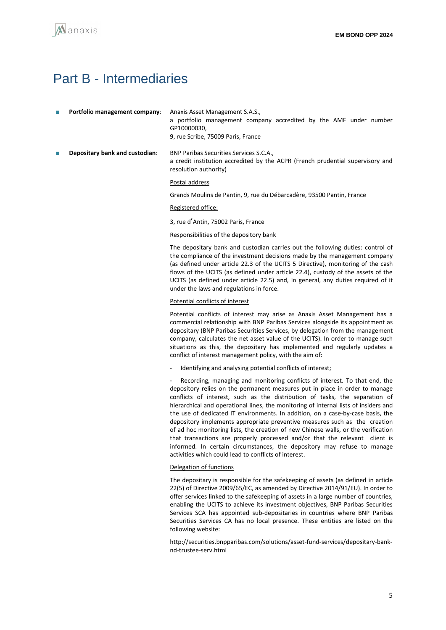## <span id="page-4-0"></span>Part B - Intermediaries

| <b>Portfolio management company:</b> Anaxis Asset Management S.A.S., |                                                                   |  |  |  |  |
|----------------------------------------------------------------------|-------------------------------------------------------------------|--|--|--|--|
|                                                                      | a portfolio management company accredited by the AMF under number |  |  |  |  |
|                                                                      | GP10000030.                                                       |  |  |  |  |
|                                                                      | 9, rue Scribe, 75009 Paris, France                                |  |  |  |  |
|                                                                      |                                                                   |  |  |  |  |

■ **Depositary bank and custodian**: BNP Paribas Securities Services S.C.A., a credit institution accredited by the ACPR (French prudential supervisory and resolution authority)

#### Postal address

Grands Moulins de Pantin, 9, rue du Débarcadère, 93500 Pantin, France

#### Registered office:

3, rue d'Antin, 75002 Paris, France

#### Responsibilities of the depository bank

The depositary bank and custodian carries out the following duties: control of the compliance of the investment decisions made by the management company (as defined under article 22.3 of the UCITS 5 Directive), monitoring of the cash flows of the UCITS (as defined under article 22.4), custody of the assets of the UCITS (as defined under article 22.5) and, in general, any duties required of it under the laws and regulations in force.

#### Potential conflicts of interest

Potential conflicts of interest may arise as Anaxis Asset Management has a commercial relationship with BNP Paribas Services alongside its appointment as depositary (BNP Paribas Securities Services, by delegation from the management company, calculates the net asset value of the UCITS). In order to manage such situations as this, the depositary has implemented and regularly updates a conflict of interest management policy, with the aim of:

Identifying and analysing potential conflicts of interest;

Recording, managing and monitoring conflicts of interest. To that end, the depository relies on the permanent measures put in place in order to manage conflicts of interest, such as the distribution of tasks, the separation of hierarchical and operational lines, the monitoring of internal lists of insiders and the use of dedicated IT environments. In addition, on a case-by-case basis, the depository implements appropriate preventive measures such as the creation of ad hoc monitoring lists, the creation of new Chinese walls, or the verification that transactions are properly processed and/or that the relevant client is informed. In certain circumstances, the depository may refuse to manage activities which could lead to conflicts of interest.

#### Delegation of functions

The depositary is responsible for the safekeeping of assets (as defined in article 22(5) of Directive 2009/65/EC, as amended by Directive 2014/91/EU). In order to offer services linked to the safekeeping of assets in a large number of countries, enabling the UCITS to achieve its investment objectives, BNP Paribas Securities Services SCA has appointed sub-depositaries in countries where BNP Paribas Securities Services CA has no local presence. These entities are listed on the following website:

http://securities.bnpparibas.com/solutions/asset-fund-services/depositary-banknd-trustee-serv.html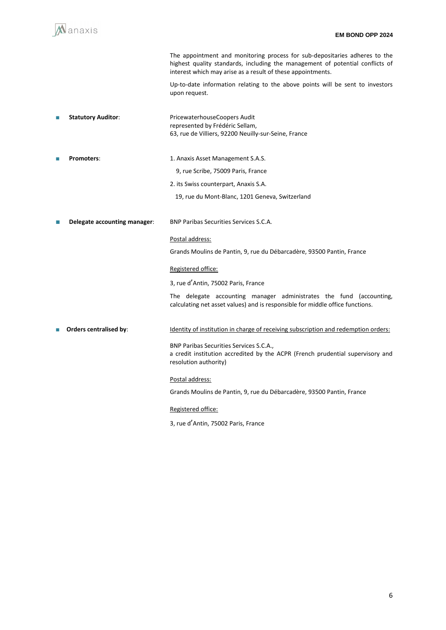

3, rue d'Antin, 75002 Paris, France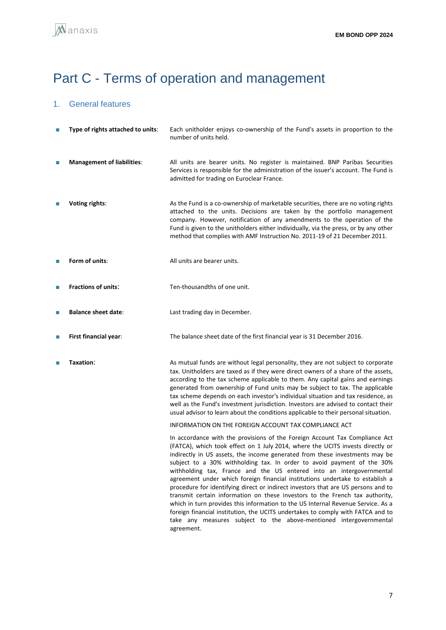# <span id="page-6-0"></span>Part C - Terms of operation and management

## 1. General features

| П | Type of rights attached to units: | Each unitholder enjoys co-ownership of the Fund's assets in proportion to the<br>number of units held.                                                                                                                                                                                                                                                                                                                                                                                                                                                                                                                                                                                                                                                                                                                                                                                                          |
|---|-----------------------------------|-----------------------------------------------------------------------------------------------------------------------------------------------------------------------------------------------------------------------------------------------------------------------------------------------------------------------------------------------------------------------------------------------------------------------------------------------------------------------------------------------------------------------------------------------------------------------------------------------------------------------------------------------------------------------------------------------------------------------------------------------------------------------------------------------------------------------------------------------------------------------------------------------------------------|
| П | <b>Management of liabilities:</b> | All units are bearer units. No register is maintained. BNP Paribas Securities<br>Services is responsible for the administration of the issuer's account. The Fund is<br>admitted for trading on Euroclear France.                                                                                                                                                                                                                                                                                                                                                                                                                                                                                                                                                                                                                                                                                               |
| П | Voting rights:                    | As the Fund is a co-ownership of marketable securities, there are no voting rights<br>attached to the units. Decisions are taken by the portfolio management<br>company. However, notification of any amendments to the operation of the<br>Fund is given to the unitholders either individually, via the press, or by any other<br>method that complies with AMF Instruction No. 2011-19 of 21 December 2011.                                                                                                                                                                                                                                                                                                                                                                                                                                                                                                  |
| П | Form of units:                    | All units are bearer units.                                                                                                                                                                                                                                                                                                                                                                                                                                                                                                                                                                                                                                                                                                                                                                                                                                                                                     |
| П | <b>Fractions of units:</b>        | Ten-thousandths of one unit.                                                                                                                                                                                                                                                                                                                                                                                                                                                                                                                                                                                                                                                                                                                                                                                                                                                                                    |
| П | <b>Balance sheet date:</b>        | Last trading day in December.                                                                                                                                                                                                                                                                                                                                                                                                                                                                                                                                                                                                                                                                                                                                                                                                                                                                                   |
| П | First financial year:             | The balance sheet date of the first financial year is 31 December 2016.                                                                                                                                                                                                                                                                                                                                                                                                                                                                                                                                                                                                                                                                                                                                                                                                                                         |
| П | Taxation:                         | As mutual funds are without legal personality, they are not subject to corporate<br>tax. Unitholders are taxed as if they were direct owners of a share of the assets,<br>according to the tax scheme applicable to them. Any capital gains and earnings<br>generated from ownership of Fund units may be subject to tax. The applicable<br>tax scheme depends on each investor's individual situation and tax residence, as<br>well as the Fund's investment jurisdiction. Investors are advised to contact their<br>usual advisor to learn about the conditions applicable to their personal situation.                                                                                                                                                                                                                                                                                                       |
|   |                                   | INFORMATION ON THE FOREIGN ACCOUNT TAX COMPLIANCE ACT                                                                                                                                                                                                                                                                                                                                                                                                                                                                                                                                                                                                                                                                                                                                                                                                                                                           |
|   |                                   | In accordance with the provisions of the Foreign Account Tax Compliance Act<br>(FATCA), which took effect on 1 July 2014, where the UCITS invests directly or<br>indirectly in US assets, the income generated from these investments may be<br>subject to a 30% withholding tax. In order to avoid payment of the 30%<br>withholding tax, France and the US entered into an intergovernmental<br>agreement under which foreign financial institutions undertake to establish a<br>procedure for identifying direct or indirect investors that are US persons and to<br>transmit certain information on these investors to the French tax authority,<br>which in turn provides this information to the US Internal Revenue Service. As a<br>foreign financial institution, the UCITS undertakes to comply with FATCA and to<br>take any measures subject to the above-mentioned intergovernmental<br>agreement. |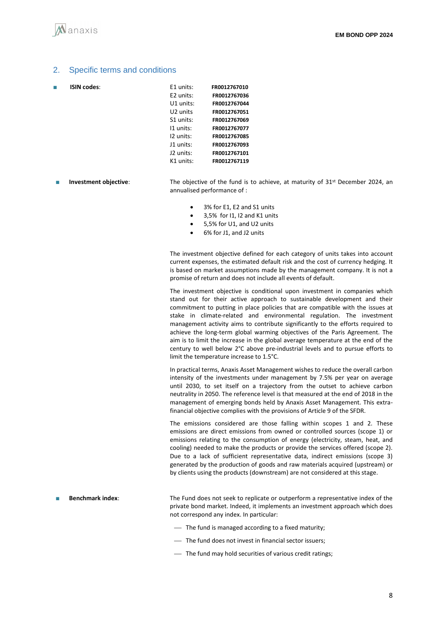#### 2. Specific terms and conditions

**ISIN codes:** 

| E1 units: | FR0012767010 |
|-----------|--------------|
| E2 units: | FR0012767036 |
| U1 units: | FR0012767044 |
| U2 units  | FR0012767051 |
| S1 units: | FR0012767069 |
| I1 units: | FR0012767077 |
| 12 units: | FR0012767085 |
| J1 units: | FR0012767093 |
| J2 units: | FR0012767101 |
| K1 units: | FR0012767119 |
|           |              |

- **Investment objective:** The objective of the fund is to achieve, at maturity of 31<sup>st</sup> December 2024, an annualised performance of :
	- 3% for E1, E2 and S1 units
	- 3,5% for I1, I2 and K1 units
	- 5,5% for U1, and U2 units
	- 6% for J1, and J2 units

The investment objective defined for each category of units takes into account current expenses, the estimated default risk and the cost of currency hedging. It is based on market assumptions made by the management company. It is not a promise of return and does not include all events of default.

The investment objective is conditional upon investment in companies which stand out for their active approach to sustainable development and their commitment to putting in place policies that are compatible with the issues at stake in climate-related and environmental regulation. The investment management activity aims to contribute significantly to the efforts required to achieve the long-term global warming objectives of the Paris Agreement. The aim is to limit the increase in the global average temperature at the end of the century to well below 2°C above pre‐industrial levels and to pursue efforts to limit the temperature increase to 1.5°C.

In practical terms, Anaxis Asset Management wishes to reduce the overall carbon intensity of the investments under management by 7.5% per year on average until 2030, to set itself on a trajectory from the outset to achieve carbon neutrality in 2050. The reference level is that measured at the end of 2018 in the management of emerging bonds held by Anaxis Asset Management. This extrafinancial objective complies with the provisions of Article 9 of the SFDR.

The emissions considered are those falling within scopes 1 and 2. These emissions are direct emissions from owned or controlled sources (scope 1) or emissions relating to the consumption of energy (electricity, steam, heat, and cooling) needed to make the products or provide the services offered (scope 2). Due to a lack of sufficient representative data, indirect emissions (scope 3) generated by the production of goods and raw materials acquired (upstream) or by clients using the products (downstream) are not considered at this stage.

**Benchmark index:** The Fund does not seek to replicate or outperform a representative index of the private bond market. Indeed, it implements an investment approach which does not correspond any index. In particular:

- The fund is managed according to a fixed maturity;
- $\overline{\phantom{a}}$  The fund does not invest in financial sector issuers;
- ⎯ The fund may hold securities of various credit ratings;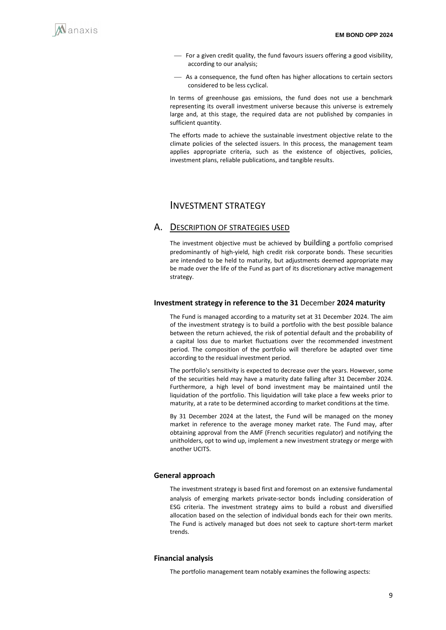

- ⎯ For a given credit quality, the fund favours issuers offering a good visibility, according to our analysis;
- As a consequence, the fund often has higher allocations to certain sectors considered to be less cyclical.

In terms of greenhouse gas emissions, the fund does not use a benchmark representing its overall investment universe because this universe is extremely large and, at this stage, the required data are not published by companies in sufficient quantity.

The efforts made to achieve the sustainable investment objective relate to the climate policies of the selected issuers. In this process, the management team applies appropriate criteria, such as the existence of objectives, policies, investment plans, reliable publications, and tangible results.

### INVESTMENT STRATEGY

### A. DESCRIPTION OF STRATEGIES USED

The investment objective must be achieved by building a portfolio comprised predominantly of high-yield, high credit risk corporate bonds. These securities are intended to be held to maturity, but adjustments deemed appropriate may be made over the life of the Fund as part of its discretionary active management strategy.

#### **Investment strategy in reference to the 31** December **2024 maturity**

The Fund is managed according to a maturity set at 31 December 2024. The aim of the investment strategy is to build a portfolio with the best possible balance between the return achieved, the risk of potential default and the probability of a capital loss due to market fluctuations over the recommended investment period. The composition of the portfolio will therefore be adapted over time according to the residual investment period.

The portfolio's sensitivity is expected to decrease over the years. However, some of the securities held may have a maturity date falling after 31 December 2024. Furthermore, a high level of bond investment may be maintained until the liquidation of the portfolio. This liquidation will take place a few weeks prior to maturity, at a rate to be determined according to market conditions at the time.

By 31 December 2024 at the latest, the Fund will be managed on the money market in reference to the average money market rate. The Fund may, after obtaining approval from the AMF (French securities regulator) and notifying the unitholders, opt to wind up, implement a new investment strategy or merge with another UCITS.

#### **General approach**

The investment strategy is based first and foremost on an extensive fundamental analysis of emerging markets private-sector bonds including consideration of ESG criteria. The investment strategy aims to build a robust and diversified allocation based on the selection of individual bonds each for their own merits. The Fund is actively managed but does not seek to capture short-term market trends.

#### **Financial analysis**

The portfolio management team notably examines the following aspects: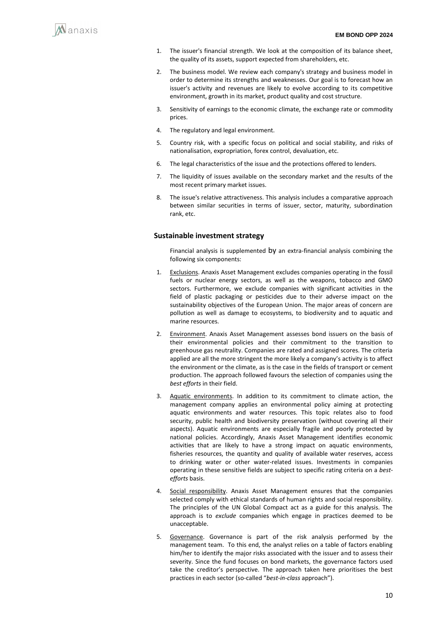

- 1. The issuer's financial strength. We look at the composition of its balance sheet, the quality of its assets, support expected from shareholders, etc.
- 2. The business model. We review each company's strategy and business model in order to determine its strengths and weaknesses. Our goal is to forecast how an issuer's activity and revenues are likely to evolve according to its competitive environment, growth in its market, product quality and cost structure.
- 3. Sensitivity of earnings to the economic climate, the exchange rate or commodity prices.
- 4. The regulatory and legal environment.
- 5. Country risk, with a specific focus on political and social stability, and risks of nationalisation, expropriation, forex control, devaluation, etc.
- 6. The legal characteristics of the issue and the protections offered to lenders.
- 7. The liquidity of issues available on the secondary market and the results of the most recent primary market issues.
- 8. The issue's relative attractiveness. This analysis includes a comparative approach between similar securities in terms of issuer, sector, maturity, subordination rank, etc.

#### **Sustainable investment strategy**

Financial analysis is supplemented by an extra-financial analysis combining the following six components:

- 1. Exclusions. Anaxis Asset Management excludes companies operating in the fossil fuels or nuclear energy sectors, as well as the weapons, tobacco and GMO sectors. Furthermore, we exclude companies with significant activities in the field of plastic packaging or pesticides due to their adverse impact on the sustainability objectives of the European Union. The major areas of concern are pollution as well as damage to ecosystems, to biodiversity and to aquatic and marine resources.
- 2. Environment. Anaxis Asset Management assesses bond issuers on the basis of their environmental policies and their commitment to the transition to greenhouse gas neutrality. Companies are rated and assigned scores. The criteria applied are all the more stringent the more likely a company's activity is to affect the environment or the climate, as is the case in the fields of transport or cement production. The approach followed favours the selection of companies using the *best efforts* in their field.
- 3. Aquatic environments. In addition to its commitment to climate action, the management company applies an environmental policy aiming at protecting aquatic environments and water resources. This topic relates also to food security, public health and biodiversity preservation (without covering all their aspects). Aquatic environments are especially fragile and poorly protected by national policies. Accordingly, Anaxis Asset Management identifies economic activities that are likely to have a strong impact on aquatic environments, fisheries resources, the quantity and quality of available water reserves, access to drinking water or other water-related issues. Investments in companies operating in these sensitive fields are subject to specific rating criteria on a *bestefforts* basis.
- 4. Social responsibility. Anaxis Asset Management ensures that the companies selected comply with ethical standards of human rights and social responsibility. The principles of the UN Global Compact act as a guide for this analysis. The approach is to *exclude* companies which engage in practices deemed to be unacceptable.
- 5. Governance. Governance is part of the risk analysis performed by the management team. To this end, the analyst relies on a table of factors enabling him/her to identify the major risks associated with the issuer and to assess their severity. Since the fund focuses on bond markets, the governance factors used take the creditor's perspective. The approach taken here prioritises the best practices in each sector (so-called "*best-in-class* approach").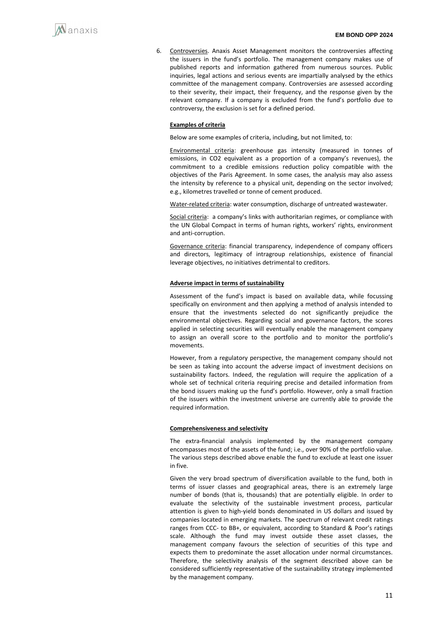6. Controversies. Anaxis Asset Management monitors the controversies affecting the issuers in the fund's portfolio. The management company makes use of published reports and information gathered from numerous sources. Public inquiries, legal actions and serious events are impartially analysed by the ethics committee of the management company. Controversies are assessed according to their severity, their impact, their frequency, and the response given by the relevant company. If a company is excluded from the fund's portfolio due to controversy, the exclusion is set for a defined period.

#### **Examples of criteria**

Below are some examples of criteria, including, but not limited, to:

Environmental criteria: greenhouse gas intensity (measured in tonnes of emissions, in CO2 equivalent as a proportion of a company's revenues), the commitment to a credible emissions reduction policy compatible with the objectives of the Paris Agreement. In some cases, the analysis may also assess the intensity by reference to a physical unit, depending on the sector involved; e.g., kilometres travelled or tonne of cement produced.

Water-related criteria: water consumption, discharge of untreated wastewater.

Social criteria: a company's links with authoritarian regimes, or compliance with the UN Global Compact in terms of human rights, workers' rights, environment and anti-corruption.

Governance criteria: financial transparency, independence of company officers and directors, legitimacy of intragroup relationships, existence of financial leverage objectives, no initiatives detrimental to creditors.

#### **Adverse impact in terms of sustainability**

Assessment of the fund's impact is based on available data, while focussing specifically on environment and then applying a method of analysis intended to ensure that the investments selected do not significantly prejudice the environmental objectives. Regarding social and governance factors, the scores applied in selecting securities will eventually enable the management company to assign an overall score to the portfolio and to monitor the portfolio's movements.

However, from a regulatory perspective, the management company should not be seen as taking into account the adverse impact of investment decisions on sustainability factors. Indeed, the regulation will require the application of a whole set of technical criteria requiring precise and detailed information from the bond issuers making up the fund's portfolio. However, only a small fraction of the issuers within the investment universe are currently able to provide the required information.

#### **Comprehensiveness and selectivity**

The extra-financial analysis implemented by the management company encompasses most of the assets of the fund; i.e., over 90% of the portfolio value. The various steps described above enable the fund to exclude at least one issuer in five.

Given the very broad spectrum of diversification available to the fund, both in terms of issuer classes and geographical areas, there is an extremely large number of bonds (that is, thousands) that are potentially eligible. In order to evaluate the selectivity of the sustainable investment process, particular attention is given to high-yield bonds denominated in US dollars and issued by companies located in emerging markets. The spectrum of relevant credit ratings ranges from CCC- to BB+, or equivalent, according to Standard & Poor's ratings scale. Although the fund may invest outside these asset classes, the management company favours the selection of securities of this type and expects them to predominate the asset allocation under normal circumstances. Therefore, the selectivity analysis of the segment described above can be considered sufficiently representative of the sustainability strategy implemented by the management company.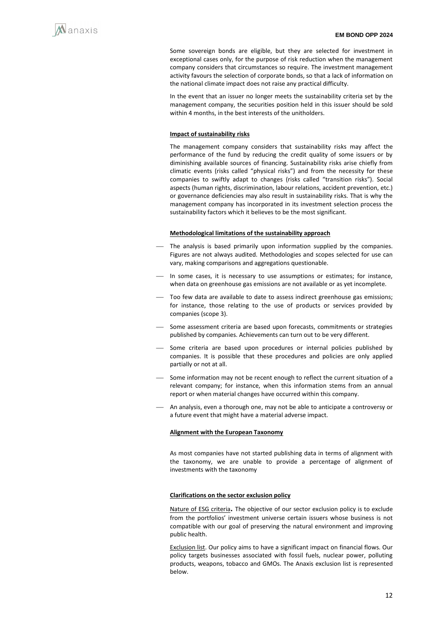Some sovereign bonds are eligible, but they are selected for investment in exceptional cases only, for the purpose of risk reduction when the management company considers that circumstances so require. The investment management activity favours the selection of corporate bonds, so that a lack of information on the national climate impact does not raise any practical difficulty.

In the event that an issuer no longer meets the sustainability criteria set by the management company, the securities position held in this issuer should be sold within 4 months, in the best interests of the unitholders.

#### **Impact of sustainability risks**

The management company considers that sustainability risks may affect the performance of the fund by reducing the credit quality of some issuers or by diminishing available sources of financing. Sustainability risks arise chiefly from climatic events (risks called "physical risks") and from the necessity for these companies to swiftly adapt to changes (risks called "transition risks"). Social aspects (human rights, discrimination, labour relations, accident prevention, etc.) or governance deficiencies may also result in sustainability risks. That is why the management company has incorporated in its investment selection process the sustainability factors which it believes to be the most significant.

#### **Methodological limitations of the sustainability approach**

- The analysis is based primarily upon information supplied by the companies. Figures are not always audited. Methodologies and scopes selected for use can vary, making comparisons and aggregations questionable.
- In some cases, it is necessary to use assumptions or estimates; for instance, when data on greenhouse gas emissions are not available or as yet incomplete.
- ⎯ Too few data are available to date to assess indirect greenhouse gas emissions; for instance, those relating to the use of products or services provided by companies (scope 3).
- Some assessment criteria are based upon forecasts, commitments or strategies published by companies. Achievements can turn out to be very different.
- Some criteria are based upon procedures or internal policies published by companies. It is possible that these procedures and policies are only applied partially or not at all.
- Some information may not be recent enough to reflect the current situation of a relevant company; for instance, when this information stems from an annual report or when material changes have occurred within this company.
- An analysis, even a thorough one, may not be able to anticipate a controversy or a future event that might have a material adverse impact.

#### **Alignment with the European Taxonomy**

As most companies have not started publishing data in terms of alignment with the taxonomy, we are unable to provide a percentage of alignment of investments with the taxonomy

#### **Clarifications on the sector exclusion policy**

Nature of ESG criteria**.** The objective of our sector exclusion policy is to exclude from the portfolios' investment universe certain issuers whose business is not compatible with our goal of preserving the natural environment and improving public health.

Exclusion list. Our policy aims to have a significant impact on financial flows. Our policy targets businesses associated with fossil fuels, nuclear power, polluting products, weapons, tobacco and GMOs. The Anaxis exclusion list is represented below.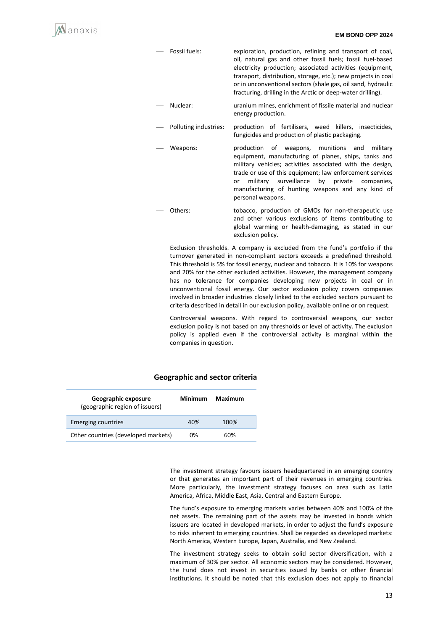

- Fossil fuels: exploration, production, refining and transport of coal, oil, natural gas and other fossil fuels; fossil fuel-based electricity production; associated activities (equipment, transport, distribution, storage, etc.); new projects in coal or in unconventional sectors (shale gas, oil sand, hydraulic fracturing, drilling in the Arctic or deep-water drilling).
- Nuclear: uranium mines, enrichment of fissile material and nuclear energy production.
- Polluting industries: production of fertilisers, weed killers, insecticides, fungicides and production of plastic packaging.
- Weapons: production of weapons, munitions and military equipment, manufacturing of planes, ships, tanks and military vehicles; activities associated with the design, trade or use of this equipment; law enforcement services or military surveillance by private companies, manufacturing of hunting weapons and any kind of personal weapons.
- Others: tobacco, production of GMOs for non-therapeutic use and other various exclusions of items contributing to global warming or health-damaging, as stated in our exclusion policy.

Exclusion thresholds. A company is excluded from the fund's portfolio if the turnover generated in non-compliant sectors exceeds a predefined threshold. This threshold is 5% for fossil energy, nuclear and tobacco. It is 10% for weapons and 20% for the other excluded activities. However, the management company has no tolerance for companies developing new projects in coal or in unconventional fossil energy. Our sector exclusion policy covers companies involved in broader industries closely linked to the excluded sectors pursuant to criteria described in detail in our exclusion policy, available online or on request.

Controversial weapons. With regard to controversial weapons, our sector exclusion policy is not based on any thresholds or level of activity. The exclusion policy is applied even if the controversial activity is marginal within the companies in question.

#### **Geographic and sector criteria**

| Geographic exposure<br>(geographic region of issuers) | Minimum | Maximum |  |
|-------------------------------------------------------|---------|---------|--|
| <b>Emerging countries</b>                             | 40%     | 100%    |  |
| Other countries (developed markets)                   | 0%      | 60%     |  |

The investment strategy favours issuers headquartered in an emerging country or that generates an important part of their revenues in emerging countries. More particularly, the investment strategy focuses on area such as Latin America, Africa, Middle East, Asia, Central and Eastern Europe.

The fund's exposure to emerging markets varies between 40% and 100% of the net assets. The remaining part of the assets may be invested in bonds which issuers are located in developed markets, in order to adjust the fund's exposure to risks inherent to emerging countries. Shall be regarded as developed markets: North America, Western Europe, Japan, Australia, and New Zealand.

The investment strategy seeks to obtain solid sector diversification, with a maximum of 30% per sector. All economic sectors may be considered. However, the Fund does not invest in securities issued by banks or other financial institutions. It should be noted that this exclusion does not apply to financial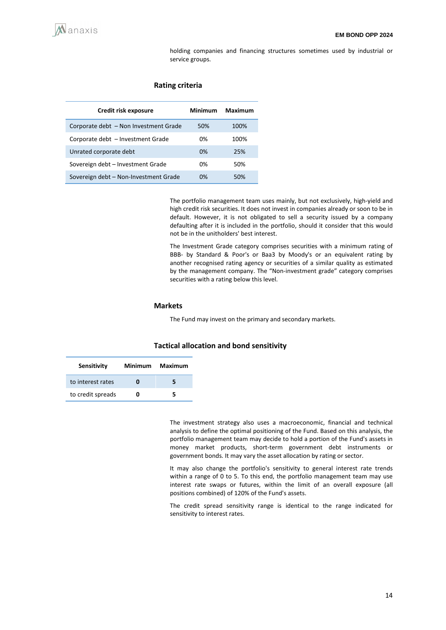holding companies and financing structures sometimes used by industrial or service groups.

#### **Rating criteria**

| Credit risk exposure                  | Minimum | Maximum |
|---------------------------------------|---------|---------|
| Corporate debt - Non Investment Grade | 50%     | 100%    |
| Corporate debt - Investment Grade     | 0%      | 100%    |
| Unrated corporate debt                | 0%      | 25%     |
| Sovereign debt - Investment Grade     | 0%      | 50%     |
| Sovereign debt - Non-Investment Grade | 0%      | 50%     |

The portfolio management team uses mainly, but not exclusively, high-yield and high credit risk securities. It does not invest in companies already or soon to be in default. However, it is not obligated to sell a security issued by a company defaulting after it is included in the portfolio, should it consider that this would not be in the unitholders' best interest.

The Investment Grade category comprises securities with a minimum rating of BBB- by Standard & Poor's or Baa3 by Moody's or an equivalent rating by another recognised rating agency or securities of a similar quality as estimated by the management company. The "Non-investment grade" category comprises securities with a rating below this level.

#### **Markets**

The Fund may invest on the primary and secondary markets.

#### **Tactical allocation and bond sensitivity**

| Sensitivity       | Minimum | Maximum |
|-------------------|---------|---------|
| to interest rates |         |         |
| to credit spreads | o       |         |

The investment strategy also uses a macroeconomic, financial and technical analysis to define the optimal positioning of the Fund. Based on this analysis, the portfolio management team may decide to hold a portion of the Fund's assets in money market products, short-term government debt instruments or government bonds. It may vary the asset allocation by rating or sector.

It may also change the portfolio's sensitivity to general interest rate trends within a range of 0 to 5. To this end, the portfolio management team may use interest rate swaps or futures, within the limit of an overall exposure (all positions combined) of 120% of the Fund's assets.

The credit spread sensitivity range is identical to the range indicated for sensitivity to interest rates.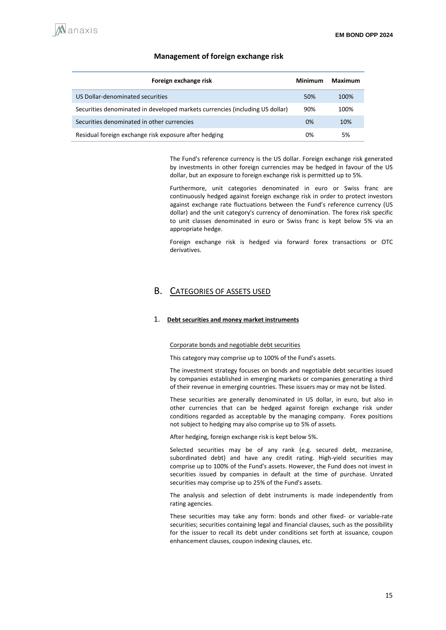#### **Management of foreign exchange risk**

| Foreign exchange risk                                                        | Minimum | Maximum |
|------------------------------------------------------------------------------|---------|---------|
| US Dollar-denominated securities                                             | 50%     | 100%    |
| Securities denominated in developed markets currencies (including US dollar) | 90%     | 100%    |
| Securities denominated in other currencies                                   | 0%      | 10%     |
| Residual foreign exchange risk exposure after hedging                        | 0%      | 5%      |

The Fund's reference currency is the US dollar. Foreign exchange risk generated by investments in other foreign currencies may be hedged in favour of the US dollar, but an exposure to foreign exchange risk is permitted up to 5%.

Furthermore, unit categories denominated in euro or Swiss franc are continuously hedged against foreign exchange risk in order to protect investors against exchange rate fluctuations between the Fund's reference currency (US dollar) and the unit category's currency of denomination. The forex risk specific to unit classes denominated in euro or Swiss franc is kept below 5% via an appropriate hedge.

Foreign exchange risk is hedged via forward forex transactions or OTC derivatives.

### B. CATEGORIES OF ASSETS USED

#### 1. **Debt securities and money market instruments**

#### Corporate bonds and negotiable debt securities

This category may comprise up to 100% of the Fund's assets.

The investment strategy focuses on bonds and negotiable debt securities issued by companies established in emerging markets or companies generating a third of their revenue in emerging countries. These issuers may or may not be listed.

These securities are generally denominated in US dollar, in euro, but also in other currencies that can be hedged against foreign exchange risk under conditions regarded as acceptable by the managing company. Forex positions not subject to hedging may also comprise up to 5% of assets.

After hedging, foreign exchange risk is kept below 5%.

Selected securities may be of any rank (e.g. secured debt, mezzanine, subordinated debt) and have any credit rating. High-yield securities may comprise up to 100% of the Fund's assets. However, the Fund does not invest in securities issued by companies in default at the time of purchase. Unrated securities may comprise up to 25% of the Fund's assets.

The analysis and selection of debt instruments is made independently from rating agencies.

These securities may take any form: bonds and other fixed- or variable-rate securities; securities containing legal and financial clauses, such as the possibility for the issuer to recall its debt under conditions set forth at issuance, coupon enhancement clauses, coupon indexing clauses, etc.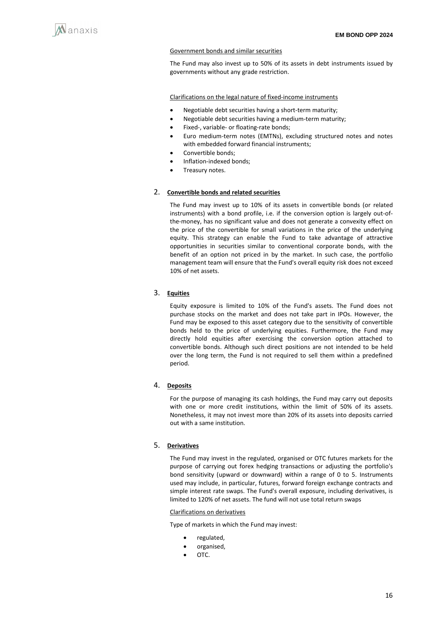

#### Government bonds and similar securities

The Fund may also invest up to 50% of its assets in debt instruments issued by governments without any grade restriction.

Clarifications on the legal nature of fixed-income instruments

- Negotiable debt securities having a short-term maturity;
- Negotiable debt securities having a medium-term maturity;
- Fixed-, variable- or floating-rate bonds;
- Euro medium-term notes (EMTNs), excluding structured notes and notes with embedded forward financial instruments;
- Convertible bonds;
- Inflation-indexed bonds;
- Treasury notes.

#### 2. **Convertible bonds and related securities**

The Fund may invest up to 10% of its assets in convertible bonds (or related instruments) with a bond profile, i.e. if the conversion option is largely out-ofthe-money, has no significant value and does not generate a convexity effect on the price of the convertible for small variations in the price of the underlying equity. This strategy can enable the Fund to take advantage of attractive opportunities in securities similar to conventional corporate bonds, with the benefit of an option not priced in by the market. In such case, the portfolio management team will ensure that the Fund's overall equity risk does not exceed 10% of net assets.

### 3. **Equities**

Equity exposure is limited to 10% of the Fund's assets. The Fund does not purchase stocks on the market and does not take part in IPOs. However, the Fund may be exposed to this asset category due to the sensitivity of convertible bonds held to the price of underlying equities. Furthermore, the Fund may directly hold equities after exercising the conversion option attached to convertible bonds. Although such direct positions are not intended to be held over the long term, the Fund is not required to sell them within a predefined period.

#### 4. **Deposits**

For the purpose of managing its cash holdings, the Fund may carry out deposits with one or more credit institutions, within the limit of 50% of its assets. Nonetheless, it may not invest more than 20% of its assets into deposits carried out with a same institution.

#### 5. **Derivatives**

The Fund may invest in the regulated, organised or OTC futures markets for the purpose of carrying out forex hedging transactions or adjusting the portfolio's bond sensitivity (upward or downward) within a range of 0 to 5. Instruments used may include, in particular, futures, forward foreign exchange contracts and simple interest rate swaps. The Fund's overall exposure, including derivatives, is limited to 120% of net assets. The fund will not use total return swaps

#### Clarifications on derivatives

Type of markets in which the Fund may invest:

- regulated,
- organised,
- OTC.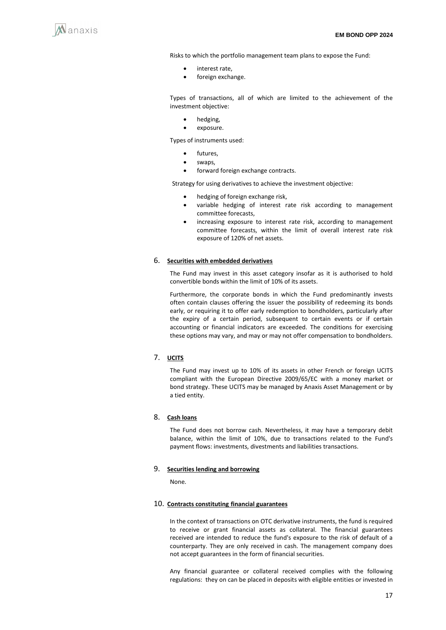

Risks to which the portfolio management team plans to expose the Fund:

- interest rate,
- foreign exchange.

Types of transactions, all of which are limited to the achievement of the investment objective:

- hedging,
- exposure.

Types of instruments used:

- futures.
- swans
- forward foreign exchange contracts.

Strategy for using derivatives to achieve the investment objective:

- hedging of foreign exchange risk,
- variable hedging of interest rate risk according to management committee forecasts,
- increasing exposure to interest rate risk, according to management committee forecasts, within the limit of overall interest rate risk exposure of 120% of net assets.

#### 6. **Securities with embedded derivatives**

The Fund may invest in this asset category insofar as it is authorised to hold convertible bonds within the limit of 10% of its assets.

Furthermore, the corporate bonds in which the Fund predominantly invests often contain clauses offering the issuer the possibility of redeeming its bonds early, or requiring it to offer early redemption to bondholders, particularly after the expiry of a certain period, subsequent to certain events or if certain accounting or financial indicators are exceeded. The conditions for exercising these options may vary, and may or may not offer compensation to bondholders.

#### 7. **UCITS**

The Fund may invest up to 10% of its assets in other French or foreign UCITS compliant with the European Directive 2009/65/EC with a money market or bond strategy. These UCITS may be managed by Anaxis Asset Management or by a tied entity.

#### 8. **Cash loans**

The Fund does not borrow cash. Nevertheless, it may have a temporary debit balance, within the limit of 10%, due to transactions related to the Fund's payment flows: investments, divestments and liabilities transactions.

#### 9. **Securities lending and borrowing**

None.

#### 10. **Contracts constituting financial guarantees**

In the context of transactions on OTC derivative instruments, the fund is required to receive or grant financial assets as collateral. The financial guarantees received are intended to reduce the fund's exposure to the risk of default of a counterparty. They are only received in cash. The management company does not accept guarantees in the form of financial securities.

Any financial guarantee or collateral received complies with the following regulations: they on can be placed in deposits with eligible entities or invested in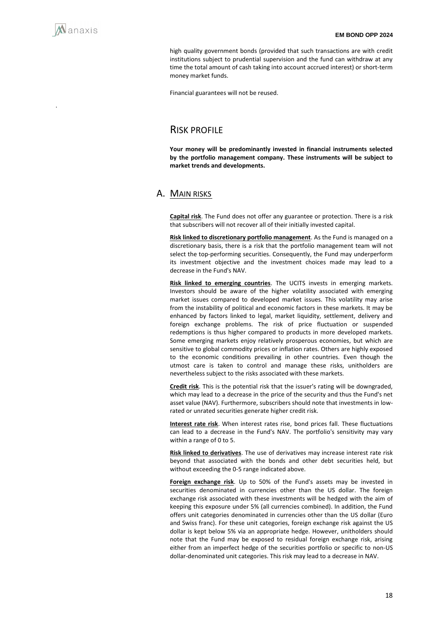.

high quality government bonds (provided that such transactions are with credit institutions subject to prudential supervision and the fund can withdraw at any time the total amount of cash taking into account accrued interest) or short-term money market funds.

Financial guarantees will not be reused.

## RISK PROFILE

**Your money will be predominantly invested in financial instruments selected by the portfolio management company. These instruments will be subject to market trends and developments.**

### A. MAIN RISKS

**Capital risk**. The Fund does not offer any guarantee or protection. There is a risk that subscribers will not recover all of their initially invested capital.

**Risk linked to discretionary portfolio management**. As the Fund is managed on a discretionary basis, there is a risk that the portfolio management team will not select the top-performing securities. Consequently, the Fund may underperform its investment objective and the investment choices made may lead to a decrease in the Fund's NAV.

**Risk linked to emerging countries**. The UCITS invests in emerging markets. Investors should be aware of the higher volatility associated with emerging market issues compared to developed market issues. This volatility may arise from the instability of political and economic factors in these markets. It may be enhanced by factors linked to legal, market liquidity, settlement, delivery and foreign exchange problems. The risk of price fluctuation or suspended redemptions is thus higher compared to products in more developed markets. Some emerging markets enjoy relatively prosperous economies, but which are sensitive to global commodity prices or inflation rates. Others are highly exposed to the economic conditions prevailing in other countries. Even though the utmost care is taken to control and manage these risks, unitholders are nevertheless subject to the risks associated with these markets.

**Credit risk**. This is the potential risk that the issuer's rating will be downgraded, which may lead to a decrease in the price of the security and thus the Fund's net asset value (NAV). Furthermore, subscribers should note that investments in lowrated or unrated securities generate higher credit risk.

**Interest rate risk**. When interest rates rise, bond prices fall. These fluctuations can lead to a decrease in the Fund's NAV. The portfolio's sensitivity may vary within a range of 0 to 5.

**Risk linked to derivatives**. The use of derivatives may increase interest rate risk beyond that associated with the bonds and other debt securities held, but without exceeding the 0-5 range indicated above.

**Foreign exchange risk**. Up to 50% of the Fund's assets may be invested in securities denominated in currencies other than the US dollar. The foreign exchange risk associated with these investments will be hedged with the aim of keeping this exposure under 5% (all currencies combined). In addition, the Fund offers unit categories denominated in currencies other than the US dollar (Euro and Swiss franc). For these unit categories, foreign exchange risk against the US dollar is kept below 5% via an appropriate hedge. However, unitholders should note that the Fund may be exposed to residual foreign exchange risk, arising either from an imperfect hedge of the securities portfolio or specific to non-US dollar-denominated unit categories. This risk may lead to a decrease in NAV.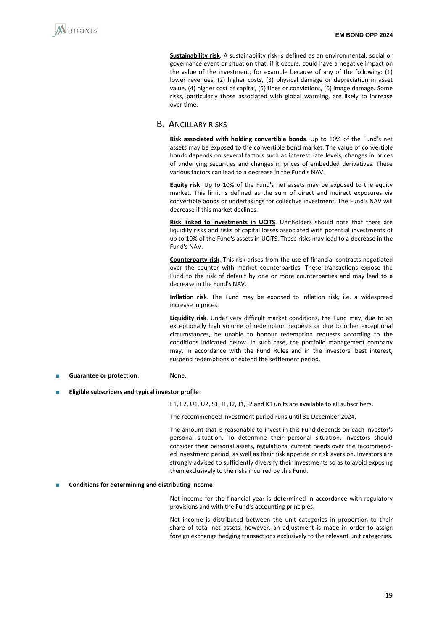**Sustainability risk**. A sustainability risk is defined as an environmental, social or governance event or situation that, if it occurs, could have a negative impact on the value of the investment, for example because of any of the following: (1) lower revenues, (2) higher costs, (3) physical damage or depreciation in asset value, (4) higher cost of capital, (5) fines or convictions, (6) image damage. Some risks, particularly those associated with global warming, are likely to increase over time.

### B. ANCILLARY RISKS

**Risk associated with holding convertible bonds**. Up to 10% of the Fund's net assets may be exposed to the convertible bond market. The value of convertible bonds depends on several factors such as interest rate levels, changes in prices of underlying securities and changes in prices of embedded derivatives. These various factors can lead to a decrease in the Fund's NAV.

**Equity risk**. Up to 10% of the Fund's net assets may be exposed to the equity market. This limit is defined as the sum of direct and indirect exposures via convertible bonds or undertakings for collective investment. The Fund's NAV will decrease if this market declines.

**Risk linked to investments in UCITS**. Unitholders should note that there are liquidity risks and risks of capital losses associated with potential investments of up to 10% of the Fund's assets in UCITS. These risks may lead to a decrease in the Fund's NAV.

**Counterparty risk**. This risk arises from the use of financial contracts negotiated over the counter with market counterparties. These transactions expose the Fund to the risk of default by one or more counterparties and may lead to a decrease in the Fund's NAV.

**Inflation risk**. The Fund may be exposed to inflation risk, i.e. a widespread increase in prices.

**Liquidity risk**. Under very difficult market conditions, the Fund may, due to an exceptionally high volume of redemption requests or due to other exceptional circumstances, be unable to honour redemption requests according to the conditions indicated below. In such case, the portfolio management company may, in accordance with the Fund Rules and in the investors' best interest, suspend redemptions or extend the settlement period.

- Guarantee or protection: None.
- **Eligible subscribers and typical investor profile**:

E1, E2, U1, U2, S1, I1, I2, J1, J2 and K1 units are available to all subscribers.

The recommended investment period runs until 31 December 2024.

The amount that is reasonable to invest in this Fund depends on each investor's personal situation. To determine their personal situation, investors should consider their personal assets, regulations, current needs over the recommended investment period, as well as their risk appetite or risk aversion. Investors are strongly advised to sufficiently diversify their investments so as to avoid exposing them exclusively to the risks incurred by this Fund.

#### ■ **Conditions for determining and distributing income**:

Net income for the financial year is determined in accordance with regulatory provisions and with the Fund's accounting principles.

Net income is distributed between the unit categories in proportion to their share of total net assets; however, an adjustment is made in order to assign foreign exchange hedging transactions exclusively to the relevant unit categories.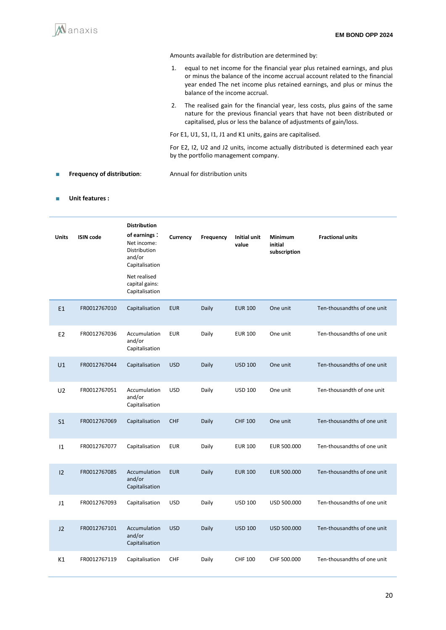

Amounts available for distribution are determined by:

- 1. equal to net income for the financial year plus retained earnings, and plus or minus the balance of the income accrual account related to the financial year ended The net income plus retained earnings, and plus or minus the balance of the income accrual.
- 2. The realised gain for the financial year, less costs, plus gains of the same nature for the previous financial years that have not been distributed or capitalised, plus or less the balance of adjustments of gain/loss.

For E1, U1, S1, I1, J1 and K1 units, gains are capitalised.

For E2, I2, U2 and J2 units, income actually distributed is determined each year by the portfolio management company.

#### ■ **Frequency of distribution**: Annual for distribution units

#### ■ **Unit features :**

| <b>Units</b>   | <b>ISIN code</b> | <b>Distribution</b><br>of earnings:<br>Net income:<br>Distribution<br>and/or<br>Capitalisation<br>Net realised<br>capital gains:<br>Capitalisation | Currency   | Frequency | Initial unit<br>value | Minimum<br>initial<br>subscription | <b>Fractional units</b>     |
|----------------|------------------|----------------------------------------------------------------------------------------------------------------------------------------------------|------------|-----------|-----------------------|------------------------------------|-----------------------------|
| E1             | FR0012767010     | Capitalisation                                                                                                                                     | <b>EUR</b> | Daily     | <b>EUR 100</b>        | One unit                           | Ten-thousandths of one unit |
| E <sub>2</sub> | FR0012767036     | Accumulation<br>and/or<br>Capitalisation                                                                                                           | <b>EUR</b> | Daily     | <b>EUR 100</b>        | One unit                           | Ten-thousandths of one unit |
| U1             | FR0012767044     | Capitalisation                                                                                                                                     | <b>USD</b> | Daily     | <b>USD 100</b>        | One unit                           | Ten-thousandths of one unit |
| U <sub>2</sub> | FR0012767051     | Accumulation<br>and/or<br>Capitalisation                                                                                                           | <b>USD</b> | Daily     | <b>USD 100</b>        | One unit                           | Ten-thousandth of one unit  |
| S <sub>1</sub> | FR0012767069     | Capitalisation                                                                                                                                     | CHF        | Daily     | <b>CHF 100</b>        | One unit                           | Ten-thousandths of one unit |
| $ 1\rangle$    | FR0012767077     | Capitalisation                                                                                                                                     | <b>EUR</b> | Daily     | <b>EUR 100</b>        | EUR 500.000                        | Ten-thousandths of one unit |
| 12             | FR0012767085     | Accumulation<br>and/or<br>Capitalisation                                                                                                           | <b>EUR</b> | Daily     | <b>EUR 100</b>        | EUR 500.000                        | Ten-thousandths of one unit |
| J <sub>1</sub> | FR0012767093     | Capitalisation                                                                                                                                     | <b>USD</b> | Daily     | <b>USD 100</b>        | USD 500.000                        | Ten-thousandths of one unit |
| 12             | FR0012767101     | Accumulation<br>and/or<br>Capitalisation                                                                                                           | <b>USD</b> | Daily     | <b>USD 100</b>        | USD 500.000                        | Ten-thousandths of one unit |
| K1             | FR0012767119     | Capitalisation                                                                                                                                     | CHF        | Daily     | <b>CHF 100</b>        | CHF 500.000                        | Ten-thousandths of one unit |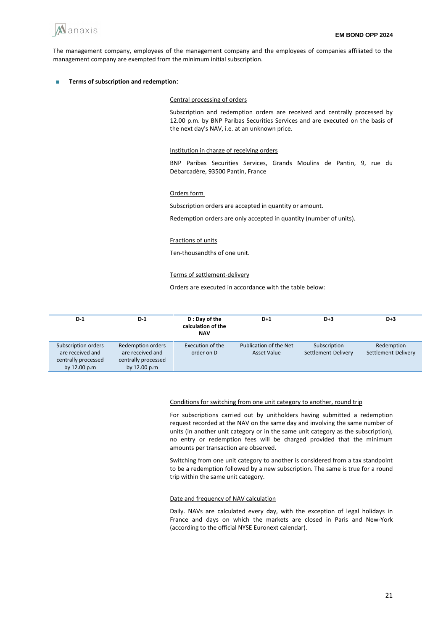

The management company, employees of the management company and the employees of companies affiliated to the management company are exempted from the minimum initial subscription.

■ **Terms of subscription and redemption**:

#### Central processing of orders

Subscription and redemption orders are received and centrally processed by 12.00 p.m. by BNP Paribas Securities Services and are executed on the basis of the next day's NAV, i.e. at an unknown price.

#### Institution in charge of receiving orders

BNP Paribas Securities Services, Grands Moulins de Pantin, 9, rue du Débarcadère, 93500 Pantin, France

#### Orders form

Subscription orders are accepted in quantity or amount.

Redemption orders are only accepted in quantity (number of units).

#### Fractions of units

Ten-thousandths of one unit.

#### Terms of settlement-delivery

Orders are executed in accordance with the table below:

| $D-1$                                                                          | $D-1$                                                                               | D : Day of the<br>calculation of the<br><b>NAV</b> | $D+1$                                 | $D+3$                               | $D+3$                             |
|--------------------------------------------------------------------------------|-------------------------------------------------------------------------------------|----------------------------------------------------|---------------------------------------|-------------------------------------|-----------------------------------|
| Subscription orders<br>are received and<br>centrally processed<br>by 12.00 p.m | <b>Redemption orders</b><br>are received and<br>centrally processed<br>by 12.00 p.m | Execution of the<br>order on D                     | Publication of the Net<br>Asset Value | Subscription<br>Settlement-Delivery | Redemption<br>Settlement-Delivery |

#### Conditions for switching from one unit category to another, round trip

For subscriptions carried out by unitholders having submitted a redemption request recorded at the NAV on the same day and involving the same number of units (in another unit category or in the same unit category as the subscription), no entry or redemption fees will be charged provided that the minimum amounts per transaction are observed.

Switching from one unit category to another is considered from a tax standpoint to be a redemption followed by a new subscription. The same is true for a round trip within the same unit category.

#### Date and frequency of NAV calculation

Daily. NAVs are calculated every day, with the exception of legal holidays in France and days on which the markets are closed in Paris and New-York (according to the official NYSE Euronext calendar).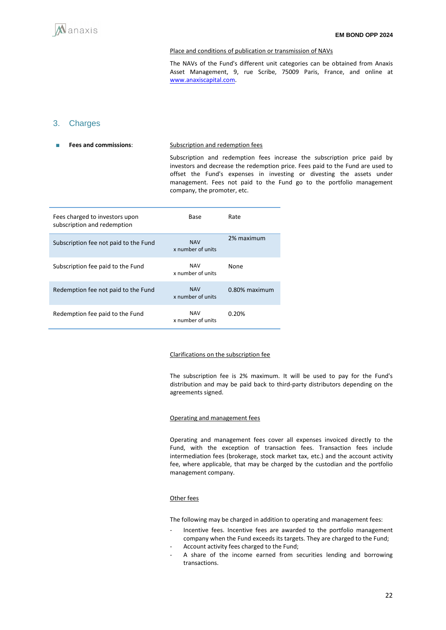#### Place and conditions of publication or transmission of NAVs

The NAVs of the Fund's different unit categories can be obtained from Anaxis Asset Management, 9, rue Scribe, 75009 Paris, France, and online at [www.anaxiscapital.com.](http://www.anaxiscapital.com/)

### 3. Charges

**Fees and commissions:** Subscription and redemption fees

Subscription and redemption fees increase the subscription price paid by investors and decrease the redemption price. Fees paid to the Fund are used to offset the Fund's expenses in investing or divesting the assets under management. Fees not paid to the Fund go to the portfolio management company, the promoter, etc.

| Fees charged to investors upon<br>subscription and redemption | Base                            | Rate          |
|---------------------------------------------------------------|---------------------------------|---------------|
| Subscription fee not paid to the Fund                         | <b>NAV</b><br>x number of units | 2% maximum    |
| Subscription fee paid to the Fund                             | <b>NAV</b><br>x number of units | None          |
| Redemption fee not paid to the Fund                           | <b>NAV</b><br>x number of units | 0.80% maximum |
| Redemption fee paid to the Fund                               | <b>NAV</b><br>x number of units | 0.20%         |

#### Clarifications on the subscription fee

The subscription fee is 2% maximum. It will be used to pay for the Fund's distribution and may be paid back to third-party distributors depending on the agreements signed.

#### Operating and management fees

Operating and management fees cover all expenses invoiced directly to the Fund, with the exception of transaction fees. Transaction fees include intermediation fees (brokerage, stock market tax, etc.) and the account activity fee, where applicable, that may be charged by the custodian and the portfolio management company.

#### Other fees

The following may be charged in addition to operating and management fees:

- Incentive fees. Incentive fees are awarded to the portfolio management company when the Fund exceeds its targets. They are charged to the Fund; Account activity fees charged to the Fund;
- A share of the income earned from securities lending and borrowing transactions.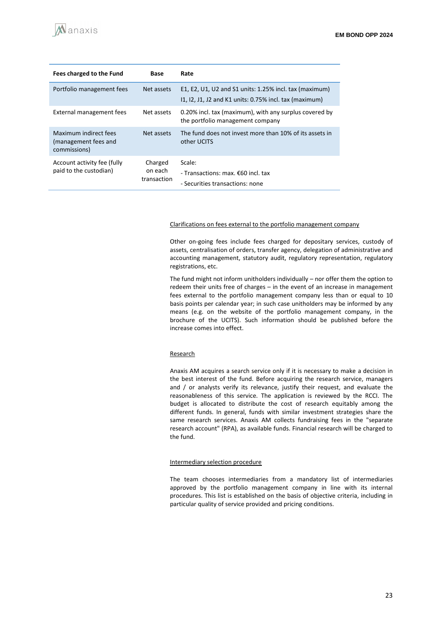| Fees charged to the Fund                                      | Base                              | Rate                                                                                                             |
|---------------------------------------------------------------|-----------------------------------|------------------------------------------------------------------------------------------------------------------|
| Portfolio management fees                                     | Net assets                        | E1, E2, U1, U2 and S1 units: 1.25% incl. tax (maximum)<br>11, 12, J1, J2 and K1 units: 0.75% incl. tax (maximum) |
| External management fees                                      | Net assets                        | 0.20% incl. tax (maximum), with any surplus covered by<br>the portfolio management company                       |
| Maximum indirect fees<br>(management fees and<br>commissions) | Net assets                        | The fund does not invest more than 10% of its assets in<br>other UCITS                                           |
| Account activity fee (fully<br>paid to the custodian)         | Charged<br>on each<br>transaction | Scale:<br>- Transactions: max. €60 incl. tax<br>- Securities transactions: none                                  |

#### Clarifications on fees external to the portfolio management company

Other on-going fees include fees charged for depositary services, custody of assets, centralisation of orders, transfer agency, delegation of administrative and accounting management, statutory audit, regulatory representation, regulatory registrations, etc.

The fund might not inform unitholders individually – nor offer them the option to redeem their units free of charges – in the event of an increase in management fees external to the portfolio management company less than or equal to 10 basis points per calendar year; in such case unitholders may be informed by any means (e.g. on the website of the portfolio management company, in the brochure of the UCITS). Such information should be published before the increase comes into effect.

#### Research

Anaxis AM acquires a search service only if it is necessary to make a decision in the best interest of the fund. Before acquiring the research service, managers and / or analysts verify its relevance, justify their request, and evaluate the reasonableness of this service. The application is reviewed by the RCCI. The budget is allocated to distribute the cost of research equitably among the different funds. In general, funds with similar investment strategies share the same research services. Anaxis AM collects fundraising fees in the "separate research account" (RPA), as available funds. Financial research will be charged to the fund.

#### Intermediary selection procedure

The team chooses intermediaries from a mandatory list of intermediaries approved by the portfolio management company in line with its internal procedures. This list is established on the basis of objective criteria, including in particular quality of service provided and pricing conditions.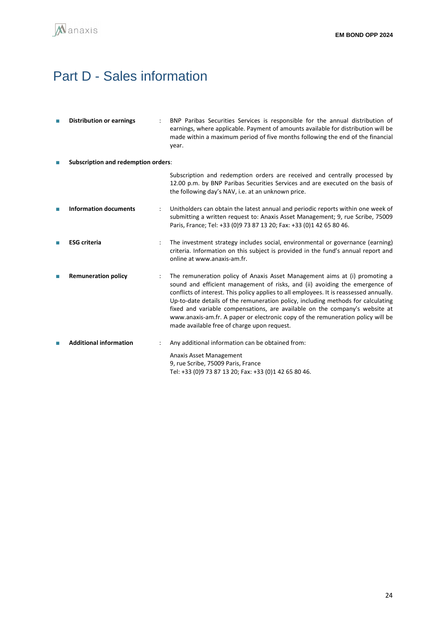## <span id="page-23-0"></span>Part D - Sales information

| П  | <b>Distribution or earnings</b>            |  | BNP Paribas Securities Services is responsible for the annual distribution of<br>earnings, where applicable. Payment of amounts available for distribution will be<br>made within a maximum period of five months following the end of the financial<br>year.                                                                                                                                                                                                                                                                                             |  |  |
|----|--------------------------------------------|--|-----------------------------------------------------------------------------------------------------------------------------------------------------------------------------------------------------------------------------------------------------------------------------------------------------------------------------------------------------------------------------------------------------------------------------------------------------------------------------------------------------------------------------------------------------------|--|--|
| П  | <b>Subscription and redemption orders:</b> |  |                                                                                                                                                                                                                                                                                                                                                                                                                                                                                                                                                           |  |  |
|    |                                            |  | Subscription and redemption orders are received and centrally processed by<br>12.00 p.m. by BNP Paribas Securities Services and are executed on the basis of<br>the following day's NAV, i.e. at an unknown price.                                                                                                                                                                                                                                                                                                                                        |  |  |
| T. | <b>Information documents</b>               |  | Unitholders can obtain the latest annual and periodic reports within one week of<br>submitting a written request to: Anaxis Asset Management; 9, rue Scribe, 75009<br>Paris, France; Tel: +33 (0)9 73 87 13 20; Fax: +33 (0)1 42 65 80 46.                                                                                                                                                                                                                                                                                                                |  |  |
| П  | <b>ESG</b> criteria                        |  | The investment strategy includes social, environmental or governance (earning)<br>criteria. Information on this subject is provided in the fund's annual report and<br>online at www.anaxis-am.fr.                                                                                                                                                                                                                                                                                                                                                        |  |  |
|    | <b>Remuneration policy</b>                 |  | The remuneration policy of Anaxis Asset Management aims at (i) promoting a<br>sound and efficient management of risks, and (ii) avoiding the emergence of<br>conflicts of interest. This policy applies to all employees. It is reassessed annually.<br>Up-to-date details of the remuneration policy, including methods for calculating<br>fixed and variable compensations, are available on the company's website at<br>www.anaxis-am.fr. A paper or electronic copy of the remuneration policy will be<br>made available free of charge upon request. |  |  |
|    | <b>Additional information</b>              |  | Any additional information can be obtained from:                                                                                                                                                                                                                                                                                                                                                                                                                                                                                                          |  |  |
|    |                                            |  | Anaxis Asset Management<br>9, rue Scribe, 75009 Paris, France<br>Tel: +33 (0)9 73 87 13 20; Fax: +33 (0)1 42 65 80 46.                                                                                                                                                                                                                                                                                                                                                                                                                                    |  |  |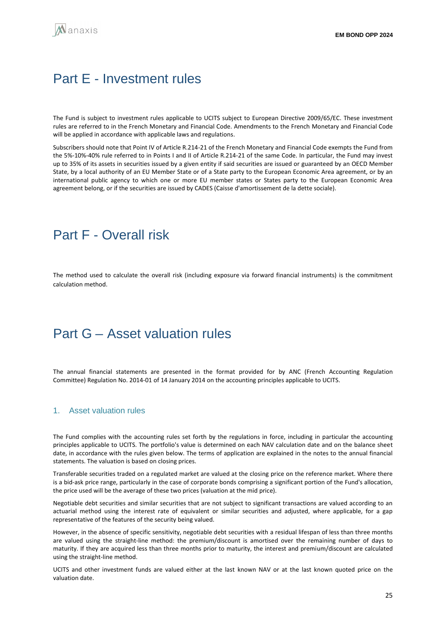## <span id="page-24-0"></span>Part E - Investment rules

The Fund is subject to investment rules applicable to UCITS subject to European Directive 2009/65/EC. These investment rules are referred to in the French Monetary and Financial Code. Amendments to the French Monetary and Financial Code will be applied in accordance with applicable laws and regulations.

Subscribers should note that Point IV of Article R.214-21 of the French Monetary and Financial Code exempts the Fund from the 5%-10%-40% rule referred to in Points I and II of Article R.214-21 of the same Code. In particular, the Fund may invest up to 35% of its assets in securities issued by a given entity if said securities are issued or guaranteed by an OECD Member State, by a local authority of an EU Member State or of a State party to the European Economic Area agreement, or by an international public agency to which one or more EU member states or States party to the European Economic Area agreement belong, or if the securities are issued by CADES (Caisse d'amortissement de la dette sociale).

## <span id="page-24-1"></span>Part F - Overall risk

The method used to calculate the overall risk (including exposure via forward financial instruments) is the commitment calculation method.

## <span id="page-24-2"></span>Part G **–** Asset valuation rules

The annual financial statements are presented in the format provided for by ANC (French Accounting Regulation Committee) Regulation No. 2014-01 of 14 January 2014 on the accounting principles applicable to UCITS.

#### 1. Asset valuation rules

The Fund complies with the accounting rules set forth by the regulations in force, including in particular the accounting principles applicable to UCITS. The portfolio's value is determined on each NAV calculation date and on the balance sheet date, in accordance with the rules given below. The terms of application are explained in the notes to the annual financial statements. The valuation is based on closing prices.

Transferable securities traded on a regulated market are valued at the closing price on the reference market. Where there is a bid-ask price range, particularly in the case of corporate bonds comprising a significant portion of the Fund's allocation, the price used will be the average of these two prices (valuation at the mid price).

Negotiable debt securities and similar securities that are not subject to significant transactions are valued according to an actuarial method using the interest rate of equivalent or similar securities and adjusted, where applicable, for a gap representative of the features of the security being valued.

However, in the absence of specific sensitivity, negotiable debt securities with a residual lifespan of less than three months are valued using the straight-line method: the premium/discount is amortised over the remaining number of days to maturity. If they are acquired less than three months prior to maturity, the interest and premium/discount are calculated using the straight-line method.

UCITS and other investment funds are valued either at the last known NAV or at the last known quoted price on the valuation date.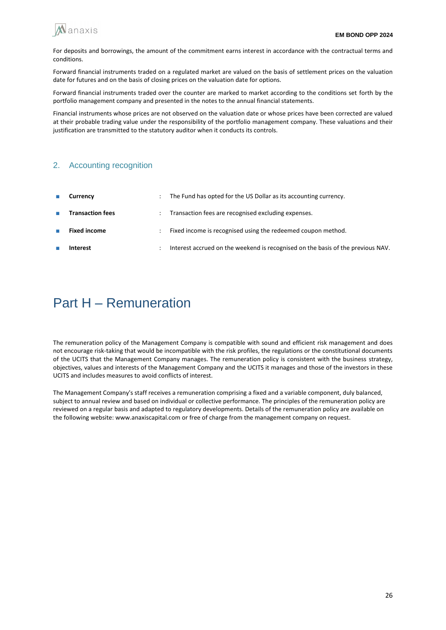

For deposits and borrowings, the amount of the commitment earns interest in accordance with the contractual terms and conditions.

Forward financial instruments traded on a regulated market are valued on the basis of settlement prices on the valuation date for futures and on the basis of closing prices on the valuation date for options.

Forward financial instruments traded over the counter are marked to market according to the conditions set forth by the portfolio management company and presented in the notes to the annual financial statements.

Financial instruments whose prices are not observed on the valuation date or whose prices have been corrected are valued at their probable trading value under the responsibility of the portfolio management company. These valuations and their justification are transmitted to the statutory auditor when it conducts its controls.

### 2. Accounting recognition

| $\mathcal{L}_{\mathcal{A}}$ | Currency                | The Fund has opted for the US Dollar as its accounting currency.                |
|-----------------------------|-------------------------|---------------------------------------------------------------------------------|
| $\mathcal{L}_{\mathcal{A}}$ | <b>Transaction fees</b> | Transaction fees are recognised excluding expenses.                             |
| <b>COL</b>                  | <b>Fixed income</b>     | Fixed income is recognised using the redeemed coupon method.                    |
|                             | Interest                | Interest accrued on the weekend is recognised on the basis of the previous NAV. |

## Part H – Remuneration

The remuneration policy of the Management Company is compatible with sound and efficient risk management and does not encourage risk-taking that would be incompatible with the risk profiles, the regulations or the constitutional documents of the UCITS that the Management Company manages. The remuneration policy is consistent with the business strategy, objectives, values and interests of the Management Company and the UCITS it manages and those of the investors in these UCITS and includes measures to avoid conflicts of interest.

The Management Company's staff receives a remuneration comprising a fixed and a variable component, duly balanced, subject to annual review and based on individual or collective performance. The principles of the remuneration policy are reviewed on a regular basis and adapted to regulatory developments. Details of the remuneration policy are available on the following website: www.anaxiscapital.com or free of charge from the management company on request.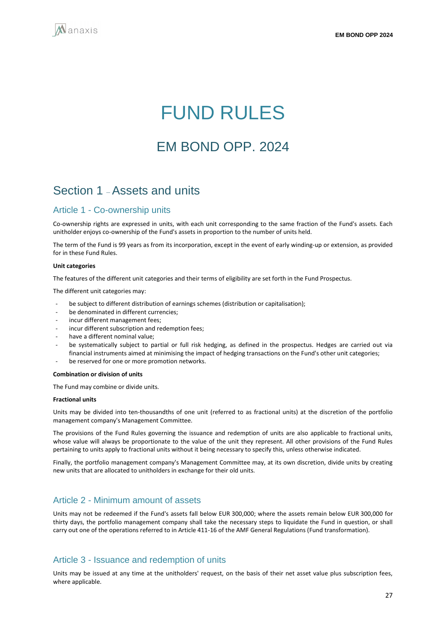<span id="page-26-0"></span>

# FUND RULES

## EM BOND OPP. 2024

## Section 1 –Assets and units

### Article 1 - Co-ownership units

Co-ownership rights are expressed in units, with each unit corresponding to the same fraction of the Fund's assets. Each unitholder enjoys co-ownership of the Fund's assets in proportion to the number of units held.

The term of the Fund is 99 years as from its incorporation, except in the event of early winding-up or extension, as provided for in these Fund Rules.

#### **Unit categories**

The features of the different unit categories and their terms of eligibility are set forth in the Fund Prospectus.

The different unit categories may:

- be subject to different distribution of earnings schemes (distribution or capitalisation);
- be denominated in different currencies;
- incur different management fees;
- incur different subscription and redemption fees;
- have a different nominal value;
- be systematically subject to partial or full risk hedging, as defined in the prospectus. Hedges are carried out via financial instruments aimed at minimising the impact of hedging transactions on the Fund's other unit categories;
- be reserved for one or more promotion networks.

#### **Combination or division of units**

The Fund may combine or divide units.

#### **Fractional units**

Units may be divided into ten-thousandths of one unit (referred to as fractional units) at the discretion of the portfolio management company's Management Committee.

The provisions of the Fund Rules governing the issuance and redemption of units are also applicable to fractional units, whose value will always be proportionate to the value of the unit they represent. All other provisions of the Fund Rules pertaining to units apply to fractional units without it being necessary to specify this, unless otherwise indicated.

Finally, the portfolio management company's Management Committee may, at its own discretion, divide units by creating new units that are allocated to unitholders in exchange for their old units.

### Article 2 - Minimum amount of assets

Units may not be redeemed if the Fund's assets fall below EUR 300,000; where the assets remain below EUR 300,000 for thirty days, the portfolio management company shall take the necessary steps to liquidate the Fund in question, or shall carry out one of the operations referred to in Article 411-16 of the AMF General Regulations (Fund transformation).

### Article 3 - Issuance and redemption of units

Units may be issued at any time at the unitholders' request, on the basis of their net asset value plus subscription fees, where applicable.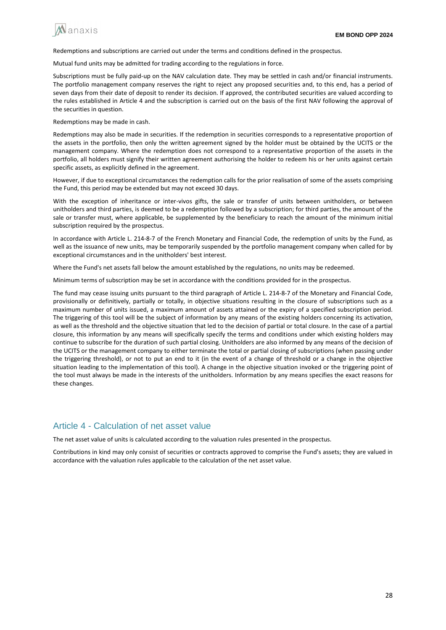

Redemptions and subscriptions are carried out under the terms and conditions defined in the prospectus.

Mutual fund units may be admitted for trading according to the regulations in force.

Subscriptions must be fully paid-up on the NAV calculation date. They may be settled in cash and/or financial instruments. The portfolio management company reserves the right to reject any proposed securities and, to this end, has a period of seven days from their date of deposit to render its decision. If approved, the contributed securities are valued according to the rules established in Article 4 and the subscription is carried out on the basis of the first NAV following the approval of the securities in question.

Redemptions may be made in cash.

Redemptions may also be made in securities. If the redemption in securities corresponds to a representative proportion of the assets in the portfolio, then only the written agreement signed by the holder must be obtained by the UCITS or the management company. Where the redemption does not correspond to a representative proportion of the assets in the portfolio, all holders must signify their written agreement authorising the holder to redeem his or her units against certain specific assets, as explicitly defined in the agreement.

However, if due to exceptional circumstances the redemption calls for the prior realisation of some of the assets comprising the Fund, this period may be extended but may not exceed 30 days.

With the exception of inheritance or inter-vivos gifts, the sale or transfer of units between unitholders, or between unitholders and third parties, is deemed to be a redemption followed by a subscription; for third parties, the amount of the sale or transfer must, where applicable, be supplemented by the beneficiary to reach the amount of the minimum initial subscription required by the prospectus.

In accordance with Article L. 214-8-7 of the French Monetary and Financial Code, the redemption of units by the Fund, as well as the issuance of new units, may be temporarily suspended by the portfolio management company when called for by exceptional circumstances and in the unitholders' best interest.

Where the Fund's net assets fall below the amount established by the regulations, no units may be redeemed.

Minimum terms of subscription may be set in accordance with the conditions provided for in the prospectus.

The fund may cease issuing units pursuant to the third paragraph of Article L. 214-8-7 of the Monetary and Financial Code, provisionally or definitively, partially or totally, in objective situations resulting in the closure of subscriptions such as a maximum number of units issued, a maximum amount of assets attained or the expiry of a specified subscription period. The triggering of this tool will be the subject of information by any means of the existing holders concerning its activation, as well as the threshold and the objective situation that led to the decision of partial or total closure. In the case of a partial closure, this information by any means will specifically specify the terms and conditions under which existing holders may continue to subscribe for the duration of such partial closing. Unitholders are also informed by any means of the decision of the UCITS or the management company to either terminate the total or partial closing of subscriptions (when passing under the triggering threshold), or not to put an end to it (in the event of a change of threshold or a change in the objective situation leading to the implementation of this tool). A change in the objective situation invoked or the triggering point of the tool must always be made in the interests of the unitholders. Information by any means specifies the exact reasons for these changes.

## Article 4 - Calculation of net asset value

The net asset value of units is calculated according to the valuation rules presented in the prospectus.

Contributions in kind may only consist of securities or contracts approved to comprise the Fund's assets; they are valued in accordance with the valuation rules applicable to the calculation of the net asset value.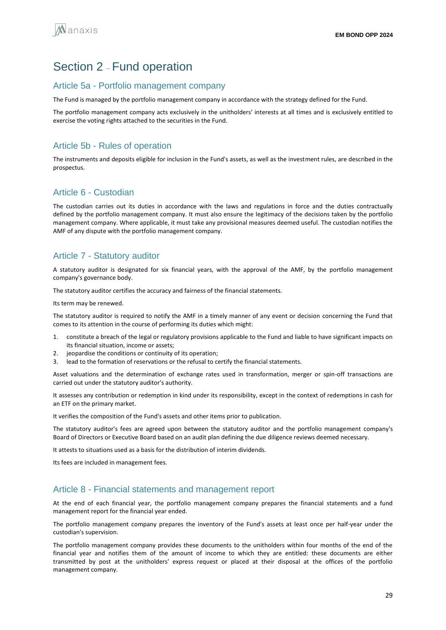## Section 2 – Fund operation

### Article 5a - Portfolio management company

The Fund is managed by the portfolio management company in accordance with the strategy defined for the Fund.

The portfolio management company acts exclusively in the unitholders' interests at all times and is exclusively entitled to exercise the voting rights attached to the securities in the Fund.

## Article 5b - Rules of operation

The instruments and deposits eligible for inclusion in the Fund's assets, as well as the investment rules, are described in the prospectus.

## Article 6 - Custodian

The custodian carries out its duties in accordance with the laws and regulations in force and the duties contractually defined by the portfolio management company. It must also ensure the legitimacy of the decisions taken by the portfolio management company. Where applicable, it must take any provisional measures deemed useful. The custodian notifies the AMF of any dispute with the portfolio management company.

## Article 7 - Statutory auditor

A statutory auditor is designated for six financial years, with the approval of the AMF, by the portfolio management company's governance body.

The statutory auditor certifies the accuracy and fairness of the financial statements.

Its term may be renewed.

The statutory auditor is required to notify the AMF in a timely manner of any event or decision concerning the Fund that comes to its attention in the course of performing its duties which might:

- 1. constitute a breach of the legal or regulatory provisions applicable to the Fund and liable to have significant impacts on its financial situation, income or assets;
- 2. jeopardise the conditions or continuity of its operation;
- 3. lead to the formation of reservations or the refusal to certify the financial statements.

Asset valuations and the determination of exchange rates used in transformation, merger or spin-off transactions are carried out under the statutory auditor's authority.

It assesses any contribution or redemption in kind under its responsibility, except in the context of redemptions in cash for an ETF on the primary market.

It verifies the composition of the Fund's assets and other items prior to publication.

The statutory auditor's fees are agreed upon between the statutory auditor and the portfolio management company's Board of Directors or Executive Board based on an audit plan defining the due diligence reviews deemed necessary.

It attests to situations used as a basis for the distribution of interim dividends.

Its fees are included in management fees.

### Article 8 - Financial statements and management report

At the end of each financial year, the portfolio management company prepares the financial statements and a fund management report for the financial year ended.

The portfolio management company prepares the inventory of the Fund's assets at least once per half-year under the custodian's supervision.

The portfolio management company provides these documents to the unitholders within four months of the end of the financial year and notifies them of the amount of income to which they are entitled: these documents are either transmitted by post at the unitholders' express request or placed at their disposal at the offices of the portfolio management company.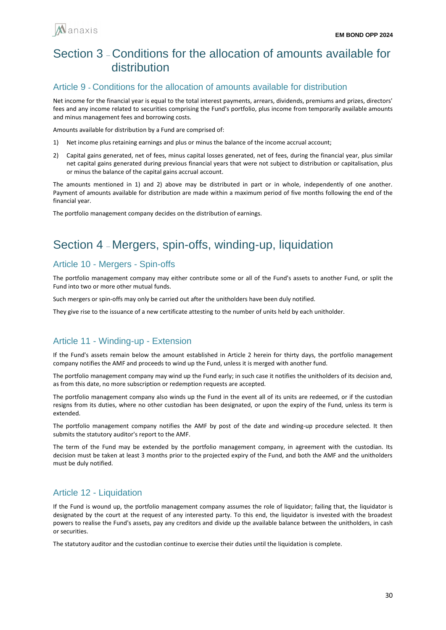

## Section 3 – Conditions for the allocation of amounts available for distribution

### Article 9 **-** Conditions for the allocation of amounts available for distribution

Net income for the financial year is equal to the total interest payments, arrears, dividends, premiums and prizes, directors' fees and any income related to securities comprising the Fund's portfolio, plus income from temporarily available amounts and minus management fees and borrowing costs.

Amounts available for distribution by a Fund are comprised of:

- 1) Net income plus retaining earnings and plus or minus the balance of the income accrual account;
- 2) Capital gains generated, net of fees, minus capital losses generated, net of fees, during the financial year, plus similar net capital gains generated during previous financial years that were not subject to distribution or capitalisation, plus or minus the balance of the capital gains accrual account.

The amounts mentioned in 1) and 2) above may be distributed in part or in whole, independently of one another. Payment of amounts available for distribution are made within a maximum period of five months following the end of the financial year.

The portfolio management company decides on the distribution of earnings.

## Section 4 – Mergers, spin-offs, winding-up, liquidation

## Article 10 - Mergers - Spin-offs

The portfolio management company may either contribute some or all of the Fund's assets to another Fund, or split the Fund into two or more other mutual funds.

Such mergers or spin-offs may only be carried out after the unitholders have been duly notified.

They give rise to the issuance of a new certificate attesting to the number of units held by each unitholder.

## Article 11 - Winding-up - Extension

If the Fund's assets remain below the amount established in Article 2 herein for thirty days, the portfolio management company notifies the AMF and proceeds to wind up the Fund, unless it is merged with another fund.

The portfolio management company may wind up the Fund early; in such case it notifies the unitholders of its decision and, as from this date, no more subscription or redemption requests are accepted.

The portfolio management company also winds up the Fund in the event all of its units are redeemed, or if the custodian resigns from its duties, where no other custodian has been designated, or upon the expiry of the Fund, unless its term is extended.

The portfolio management company notifies the AMF by post of the date and winding-up procedure selected. It then submits the statutory auditor's report to the AMF.

The term of the Fund may be extended by the portfolio management company, in agreement with the custodian. Its decision must be taken at least 3 months prior to the projected expiry of the Fund, and both the AMF and the unitholders must be duly notified.

## Article 12 - Liquidation

If the Fund is wound up, the portfolio management company assumes the role of liquidator; failing that, the liquidator is designated by the court at the request of any interested party. To this end, the liquidator is invested with the broadest powers to realise the Fund's assets, pay any creditors and divide up the available balance between the unitholders, in cash or securities.

The statutory auditor and the custodian continue to exercise their duties until the liquidation is complete.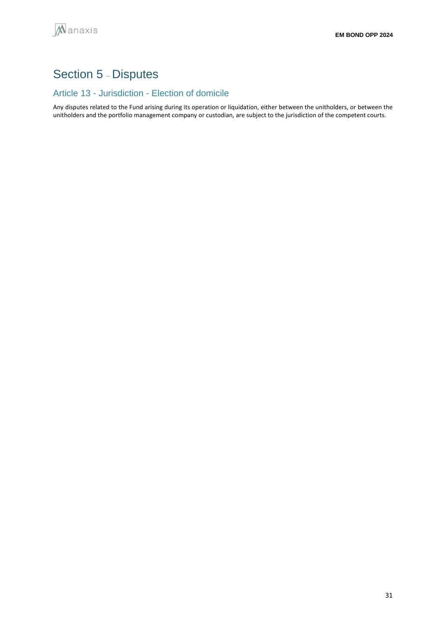## Section 5 – Disputes

## Article 13 - Jurisdiction - Election of domicile

Any disputes related to the Fund arising during its operation or liquidation, either between the unitholders, or between the unitholders and the portfolio management company or custodian, are subject to the jurisdiction of the competent courts.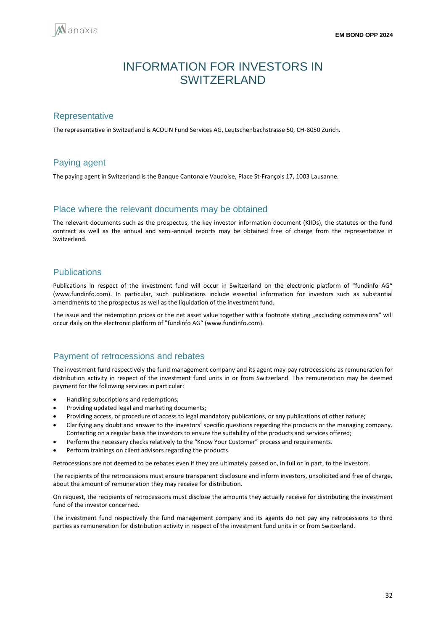<span id="page-31-0"></span>

## INFORMATION FOR INVESTORS IN SWITZERLAND

### **Representative**

The representative in Switzerland is ACOLIN Fund Services AG, Leutschenbachstrasse 50, CH-8050 Zurich.

## Paying agent

The paying agent in Switzerland is the Banque Cantonale Vaudoise, Place St-François 17, 1003 Lausanne.

### Place where the relevant documents may be obtained

The relevant documents such as the prospectus, the key investor information document (KIIDs), the statutes or the fund contract as well as the annual and semi-annual reports may be obtained free of charge from the representative in Switzerland.

### **Publications**

Publications in respect of the investment fund will occur in Switzerland on the electronic platform of "fundinfo AG" (www.fundinfo.com). In particular, such publications include essential information for investors such as substantial amendments to the prospectus as well as the liquidation of the investment fund.

The issue and the redemption prices or the net asset value together with a footnote stating "excluding commissions" will occur daily on the electronic platform of "fundinfo AG" (www.fundinfo.com).

### Payment of retrocessions and rebates

The investment fund respectively the fund management company and its agent may pay retrocessions as remuneration for distribution activity in respect of the investment fund units in or from Switzerland. This remuneration may be deemed payment for the following services in particular:

- Handling subscriptions and redemptions;
- Providing updated legal and marketing documents;
- Providing access, or procedure of access to legal mandatory publications, or any publications of other nature;
- Clarifying any doubt and answer to the investors' specific questions regarding the products or the managing company. Contacting on a regular basis the investors to ensure the suitability of the products and services offered;
- Perform the necessary checks relatively to the "Know Your Customer" process and requirements.
- Perform trainings on client advisors regarding the products.

Retrocessions are not deemed to be rebates even if they are ultimately passed on, in full or in part, to the investors.

The recipients of the retrocessions must ensure transparent disclosure and inform investors, unsolicited and free of charge, about the amount of remuneration they may receive for distribution.

On request, the recipients of retrocessions must disclose the amounts they actually receive for distributing the investment fund of the investor concerned.

The investment fund respectively the fund management company and its agents do not pay any retrocessions to third parties as remuneration for distribution activity in respect of the investment fund units in or from Switzerland.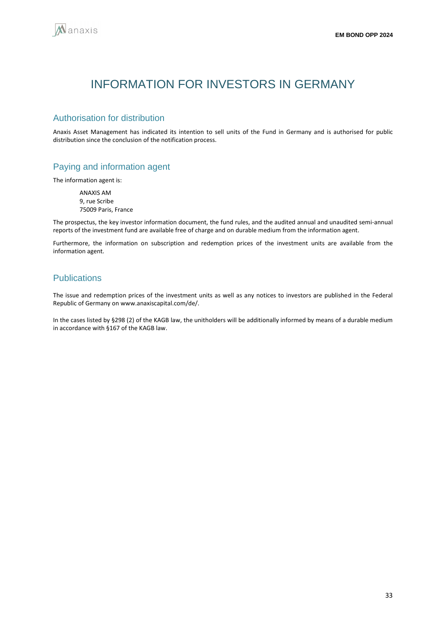<span id="page-32-0"></span>

## INFORMATION FOR INVESTORS IN GERMANY

### Authorisation for distribution

Anaxis Asset Management has indicated its intention to sell units of the Fund in Germany and is authorised for public distribution since the conclusion of the notification process.

## Paying and information agent

The information agent is:

ANAXIS AM 9, rue Scribe 75009 Paris, France

The prospectus, the key investor information document, the fund rules, and the audited annual and unaudited semi-annual reports of the investment fund are available free of charge and on durable medium from the information agent.

Furthermore, the information on subscription and redemption prices of the investment units are available from the information agent.

## **Publications**

The issue and redemption prices of the investment units as well as any notices to investors are published in the Federal Republic of Germany on www.anaxiscapital.com/de/.

In the cases listed by §298 (2) of the KAGB law, the unitholders will be additionally informed by means of a durable medium in accordance with §167 of the KAGB law.